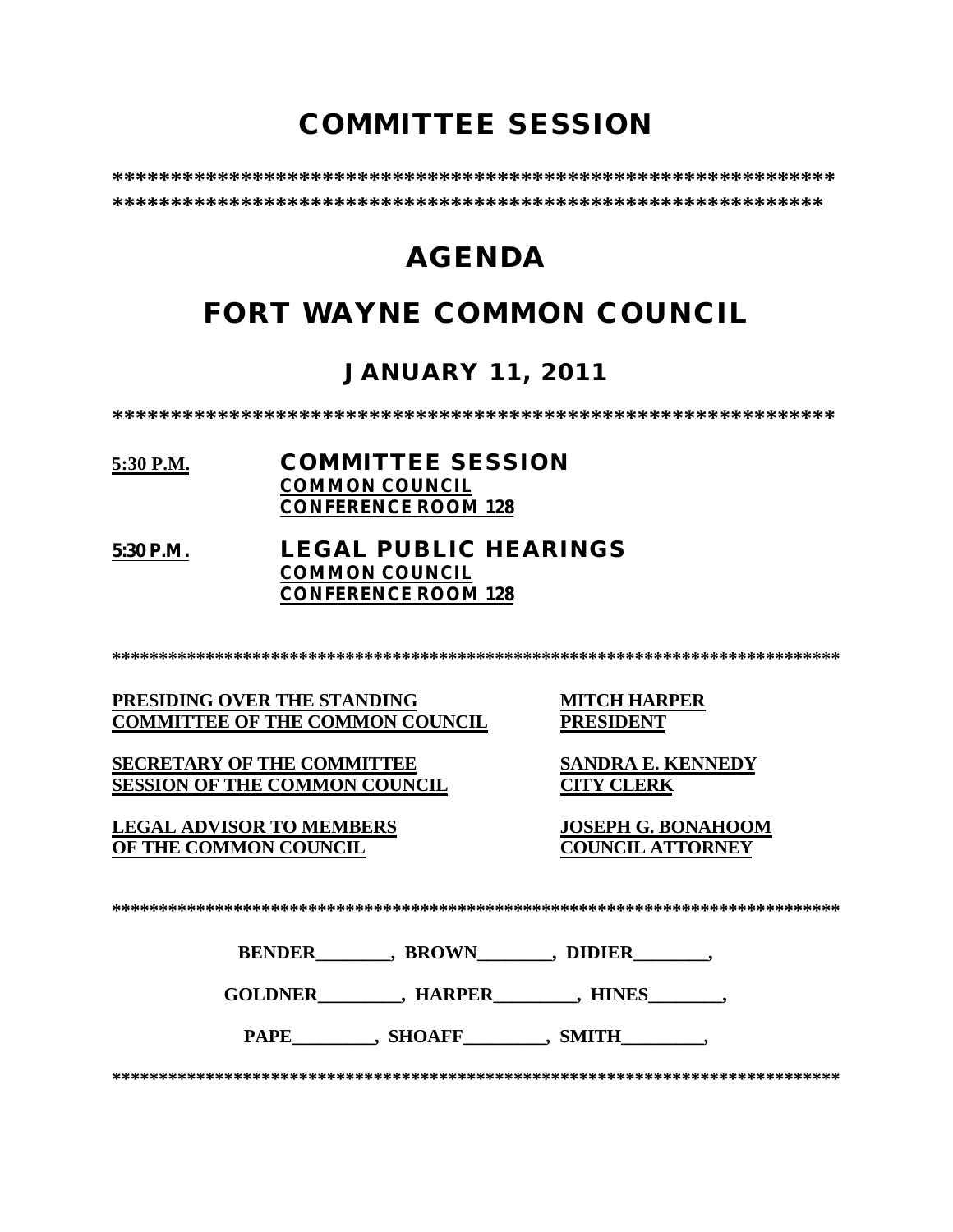# **COMMITTEE SESSION**

**\*\*\*\*\*\*\*\*\*\*\*\*\*\*\*\*\*\*\*\*\*\*\*\*\*\*\*\*\*\*\*\*\*\*\*\*\*\*\*\*\*\*\*\*\*\*\*\*\*\*\*\*\*\*\*\*\*\*\*\*\*\* \*\*\*\*\*\*\*\*\*\*\*\*\*\*\*\*\*\*\*\*\*\*\*\*\*\*\*\*\*\*\*\*\*\*\*\*\*\*\*\*\*\*\*\*\*\*\*\*\*\*\*\*\*\*\*\*\*\*\*\*\***

# **AGENDA**

# **FORT WAYNE COMMON COUNCIL**

## **JANUARY 11, 2011**

**\*\*\*\*\*\*\*\*\*\*\*\*\*\*\*\*\*\*\*\*\*\*\*\*\*\*\*\*\*\*\*\*\*\*\*\*\*\*\*\*\*\*\*\*\*\*\*\*\*\*\*\*\*\*\*\*\*\*\*\*\*\***

### **5:30 P.M. COMMITTEE SESSION COMMON COUNCIL CONFERENCE ROOM 128**

### **5:30 P.M. LEGAL PUBLIC HEARINGS COMMON COUNCIL CONFERENCE ROOM 128**

**\*\*\*\*\*\*\*\*\*\*\*\*\*\*\*\*\*\*\*\*\*\*\*\*\*\*\*\*\*\*\*\*\*\*\*\*\*\*\*\*\*\*\*\*\*\*\*\*\*\*\*\*\*\*\*\*\*\*\*\*\*\*\*\*\*\*\*\*\*\*\*\*\*\*\*\*\*\***

**PRESIDING OVER THE STANDING MITCH HARPER COMMITTEE OF THE COMMON COUNCIL PRESIDENT**

**SECRETARY OF THE COMMITTEE SANDRA E. KENNEDY**

**LEGAL ADVISOR TO MEMBERS JOSEPH G. BONAHOOM OF THE COMMON COUNCIL** 

**SESSION OF THE COMMON COUNCIL CITY CLERK**

**\*\*\*\*\*\*\*\*\*\*\*\*\*\*\*\*\*\*\*\*\*\*\*\*\*\*\*\*\*\*\*\*\*\*\*\*\*\*\*\*\*\*\*\*\*\*\*\*\*\*\*\*\*\*\*\*\*\*\*\*\*\*\*\*\*\*\*\*\*\*\*\*\*\*\*\*\*\***

**BENDER\_\_\_\_\_\_\_\_, BROWN\_\_\_\_\_\_\_\_, DIDIER\_\_\_\_\_\_\_\_,** 

GOLDNER , HARPER , HINES

PAPE , SHOAFF , SMITH

**\*\*\*\*\*\*\*\*\*\*\*\*\*\*\*\*\*\*\*\*\*\*\*\*\*\*\*\*\*\*\*\*\*\*\*\*\*\*\*\*\*\*\*\*\*\*\*\*\*\*\*\*\*\*\*\*\*\*\*\*\*\*\*\*\*\*\*\*\*\*\*\*\*\*\*\*\*\***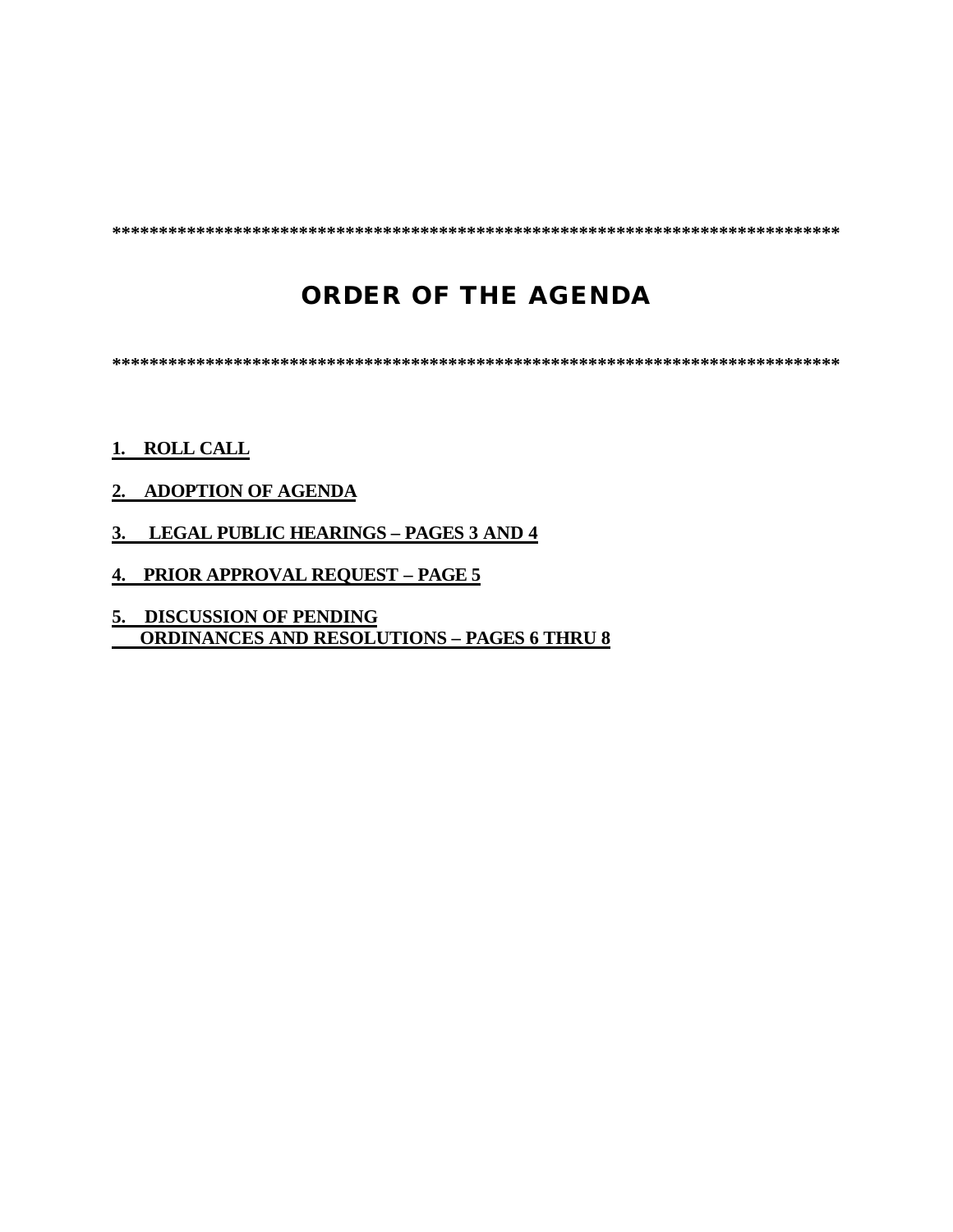**\*\*\*\*\*\*\*\*\*\*\*\*\*\*\*\*\*\*\*\*\*\*\*\*\*\*\*\*\*\*\*\*\*\*\*\*\*\*\*\*\*\*\*\*\*\*\*\*\*\*\*\*\*\*\*\*\*\*\*\*\*\*\*\*\*\*\*\*\*\*\*\*\*\*\*\*\*\***

# **ORDER OF THE AGENDA**

**\*\*\*\*\*\*\*\*\*\*\*\*\*\*\*\*\*\*\*\*\*\*\*\*\*\*\*\*\*\*\*\*\*\*\*\*\*\*\*\*\*\*\*\*\*\*\*\*\*\*\*\*\*\*\*\*\*\*\*\*\*\*\*\*\*\*\*\*\*\*\*\*\*\*\*\*\*\***

### **1. ROLL CALL**

### **2. ADOPTION OF AGENDA**

- **3. LEGAL PUBLIC HEARINGS PAGES 3 AND 4**
- **4. PRIOR APPROVAL REQUEST PAGE 5**
- **5. DISCUSSION OF PENDING ORDINANCES AND RESOLUTIONS – PAGES 6 THRU 8**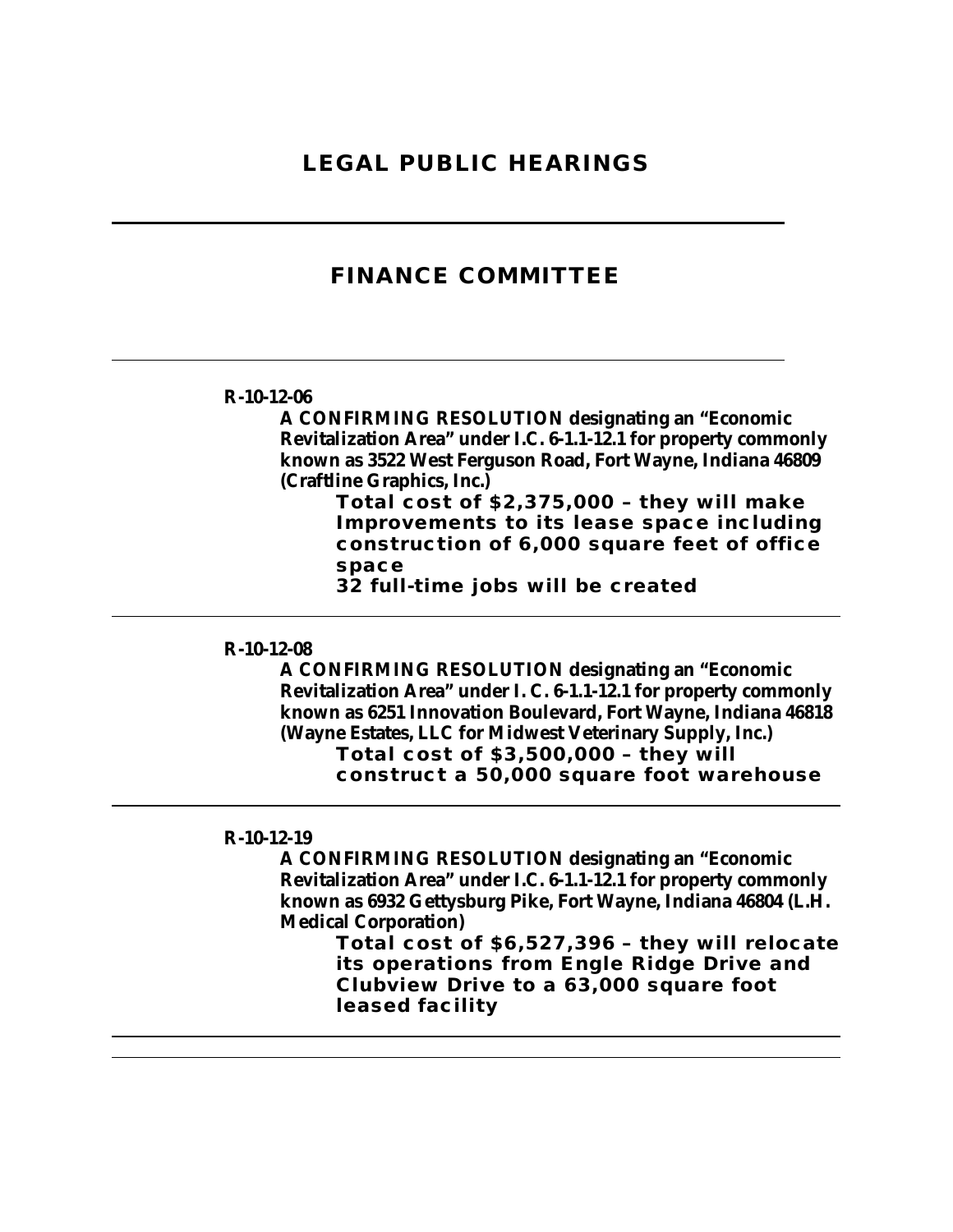### **LEGAL PUBLIC HEARINGS**

### **FINANCE COMMITTEE**

#### **R-10-12-06**

**A CONFIRMING RESOLUTION designating an "Economic Revitalization Area" under I.C. 6-1.1-12.1 for property commonly known as 3522 West Ferguson Road, Fort Wayne, Indiana 46809 (Craftline Graphics, Inc.)**

> **Total cost of \$2,375,000 – they will make Improvements to its lease space including construction of 6,000 square feet of office space**

**32 full-time jobs will be created** 

#### **R-10-12-08**

**A CONFIRMING RESOLUTION designating an "Economic Revitalization Area" under I. C. 6-1.1-12.1 for property commonly known as 6251 Innovation Boulevard, Fort Wayne, Indiana 46818 (Wayne Estates, LLC for Midwest Veterinary Supply, Inc.) Total cost of \$3,500,000 – they will construct a 50,000 square foot warehouse** 

#### **R-10-12-19**

**A CONFIRMING RESOLUTION designating an "Economic Revitalization Area" under I.C. 6-1.1-12.1 for property commonly known as 6932 Gettysburg Pike, Fort Wayne, Indiana 46804 (L.H. Medical Corporation)**

**Total cost of \$6,527,396 – they will relocate its operations from Engle Ridge Drive and Clubview Drive to a 63,000 square foot leased facility**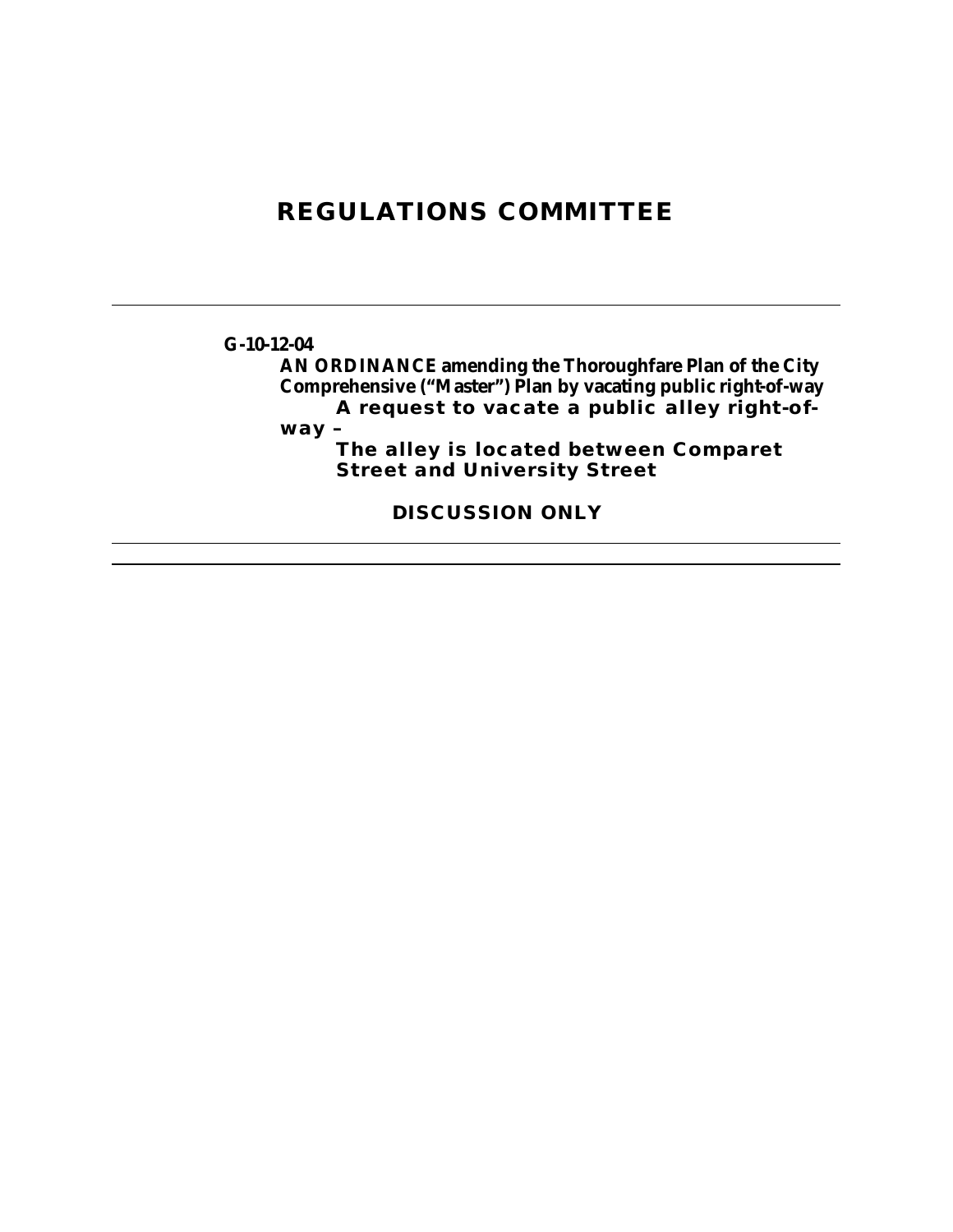# **REGULATIONS COMMITTEE**

### **G-10-12-04**

**AN ORDINANCE amending the Thoroughfare Plan of the City Comprehensive ("Master") Plan by vacating public right-of-way A request to vacate a public alley right-of-**

**way –**

**The alley is located between Comparet Street and University Street** 

**DISCUSSION ONLY**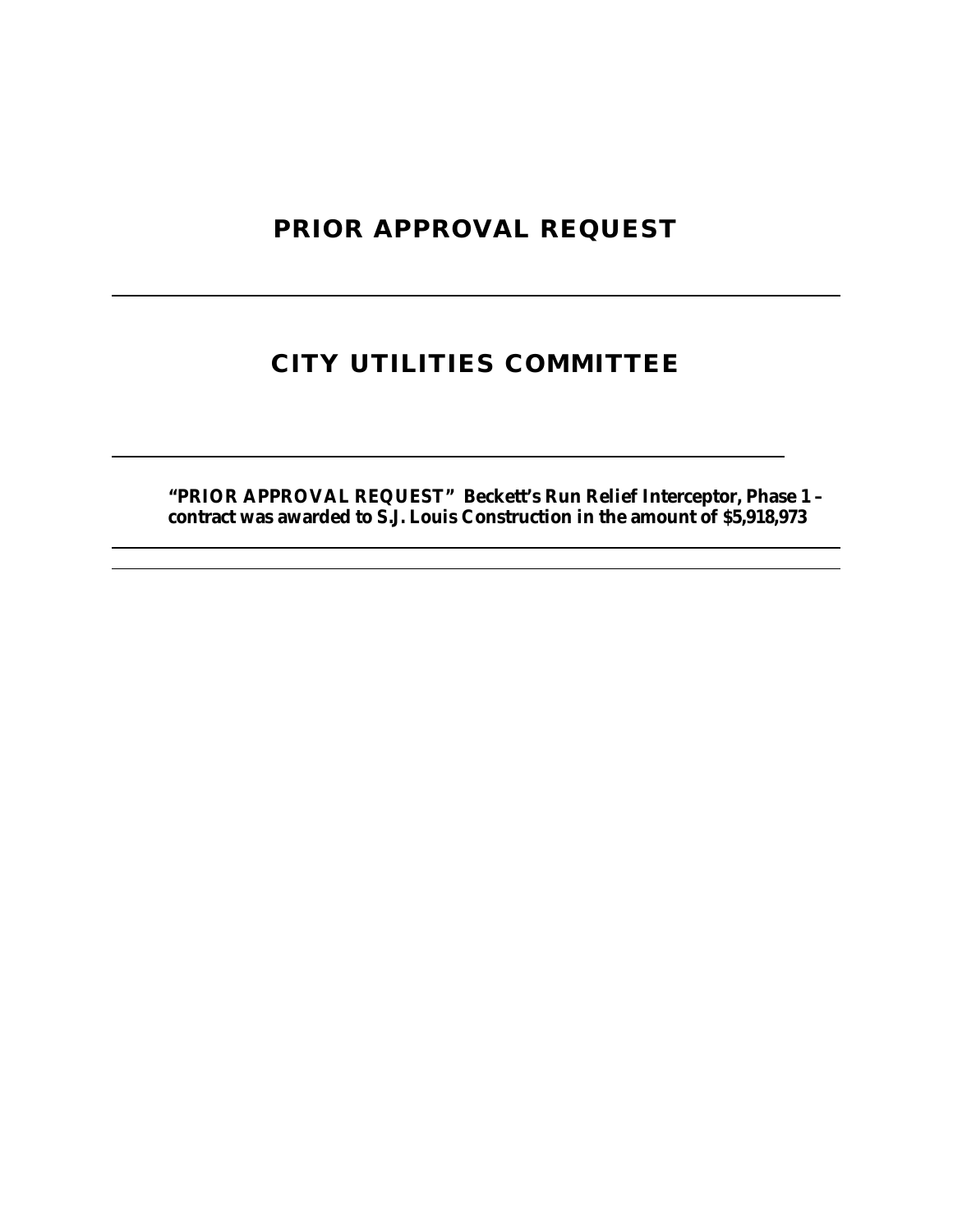# **PRIOR APPROVAL REQUEST**

# **CITY UTILITIES COMMITTEE**

**"PRIOR APPROVAL REQUEST" Beckett's Run Relief Interceptor, Phase 1 – contract was awarded to S.J. Louis Construction in the amount of \$5,918,973**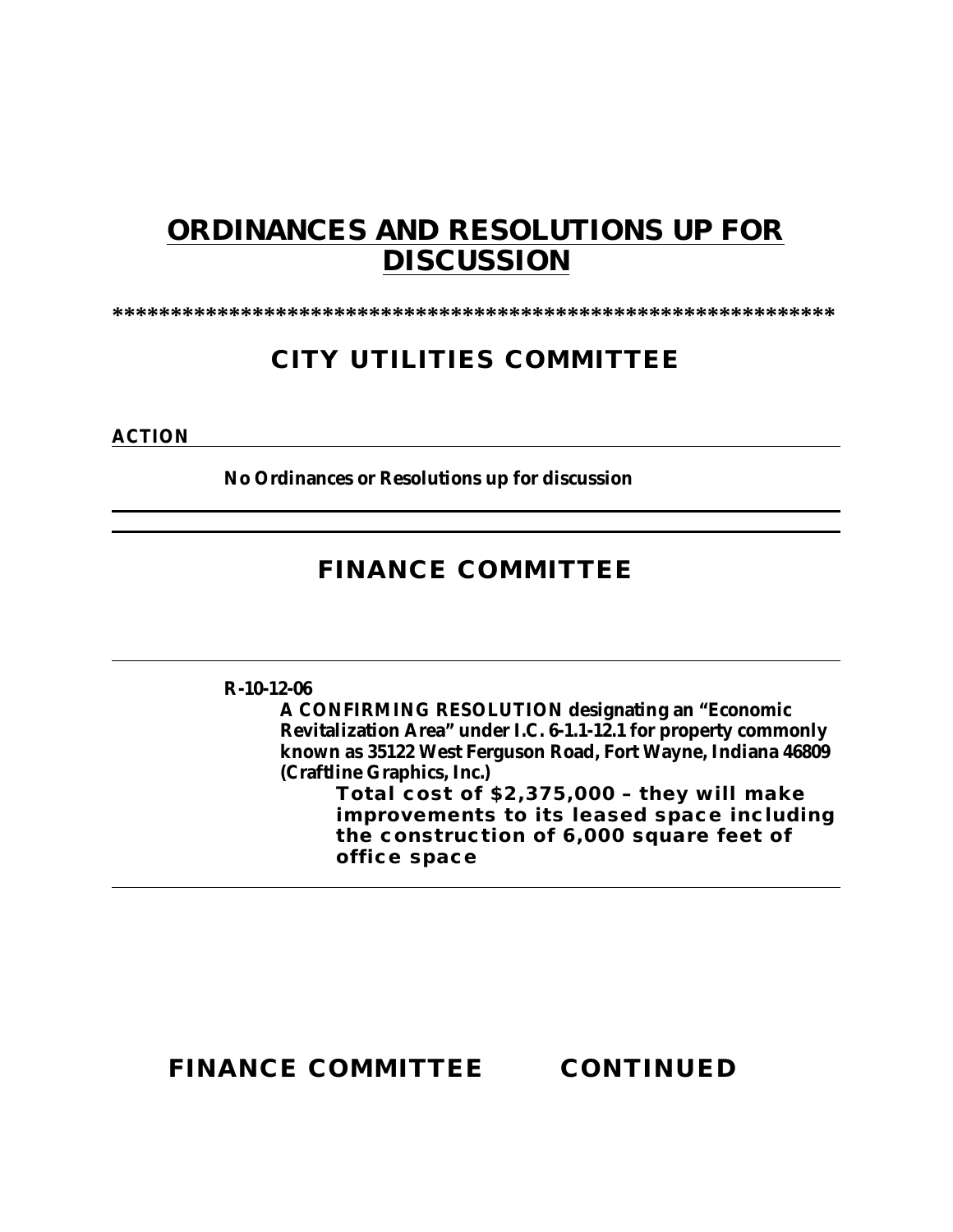# **ORDINANCES AND RESOLUTIONS UP FOR DISCUSSION**

**\*\*\*\*\*\*\*\*\*\*\*\*\*\*\*\*\*\*\*\*\*\*\*\*\*\*\*\*\*\*\*\*\*\*\*\*\*\*\*\*\*\*\*\*\*\*\*\*\*\*\*\*\*\*\*\*\*\*\*\*\*\***

# **CITY UTILITIES COMMITTEE**

**ACTION**

**No Ordinances or Resolutions up for discussion**

# **FINANCE COMMITTEE**

### **R-10-12-06**

**A CONFIRMING RESOLUTION designating an "Economic Revitalization Area" under I.C. 6-1.1-12.1 for property commonly known as 35122 West Ferguson Road, Fort Wayne, Indiana 46809 (Craftline Graphics, Inc.)**

**Total cost of \$2,375,000 – they will make improvements to its leased space including the construction of 6,000 square feet of office space** 

**FINANCE COMMITTEE CONTINUED**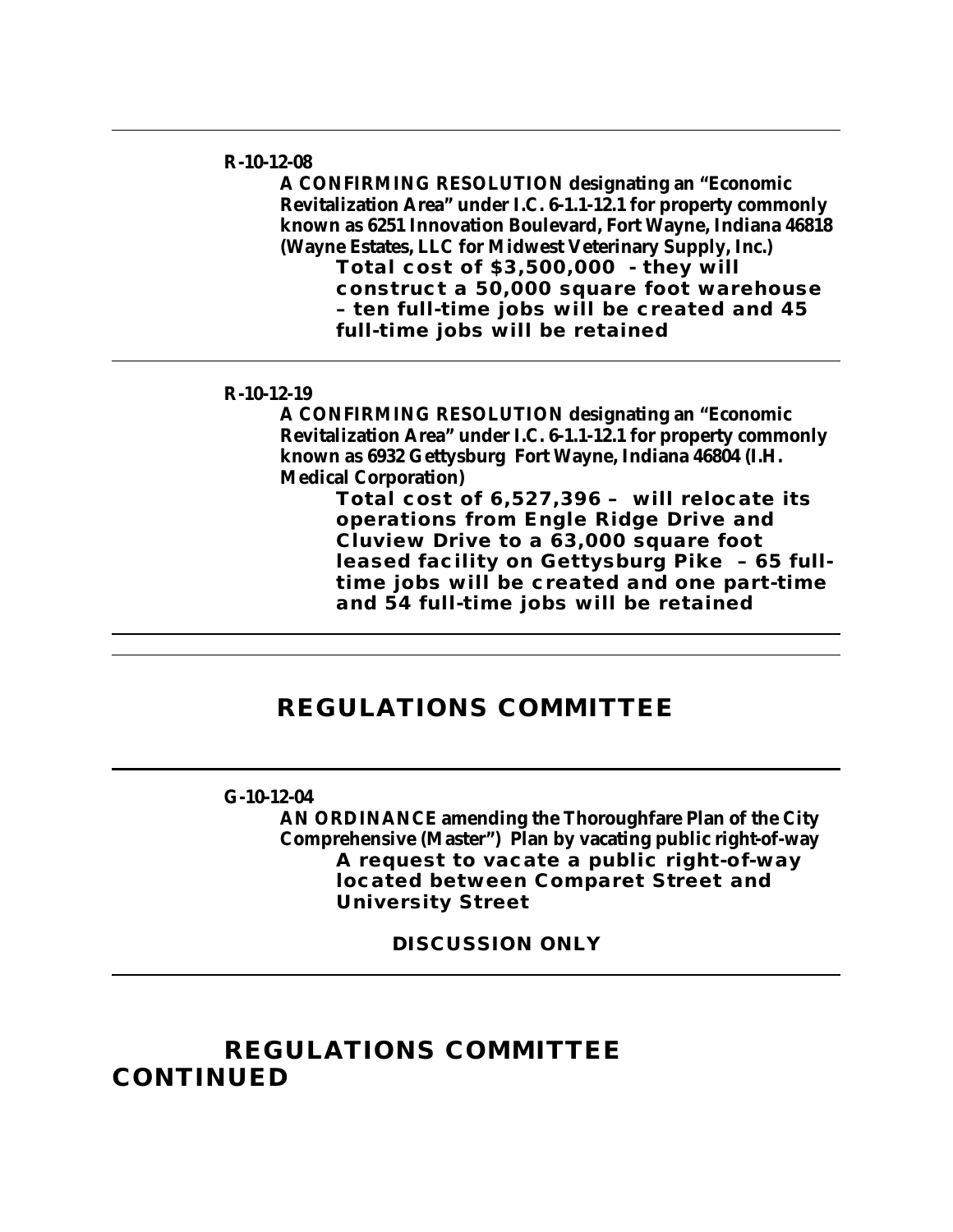#### **R-10-12-08**

**A CONFIRMING RESOLUTION designating an "Economic Revitalization Area" under I.C. 6-1.1-12.1 for property commonly known as 6251 Innovation Boulevard, Fort Wayne, Indiana 46818 (Wayne Estates, LLC for Midwest Veterinary Supply, Inc.)**

**Total cost of \$3,500,000 - they will construct a 50,000 square foot warehouse – ten full-time jobs will be created and 45 full-time jobs will be retained**

#### **R-10-12-19**

**A CONFIRMING RESOLUTION designating an "Economic Revitalization Area" under I.C. 6-1.1-12.1 for property commonly known as 6932 Gettysburg Fort Wayne, Indiana 46804 (I.H. Medical Corporation)**

> **Total cost of 6,527,396 – will relocate its operations from Engle Ridge Drive and Cluview Drive to a 63,000 square foot leased facility on Gettysburg Pike – 65 fulltime jobs will be created and one part-time and 54 full-time jobs will be retained**

### **REGULATIONS COMMITTEE**

### **G-10-12-04**

**AN ORDINANCE amending the Thoroughfare Plan of the City Comprehensive (Master") Plan by vacating public right-of-way A request to vacate a public right-of-way located between Comparet Street and University Street** 

**DISCUSSION ONLY** 

## **REGULATIONS COMMITTEE CONTINUED**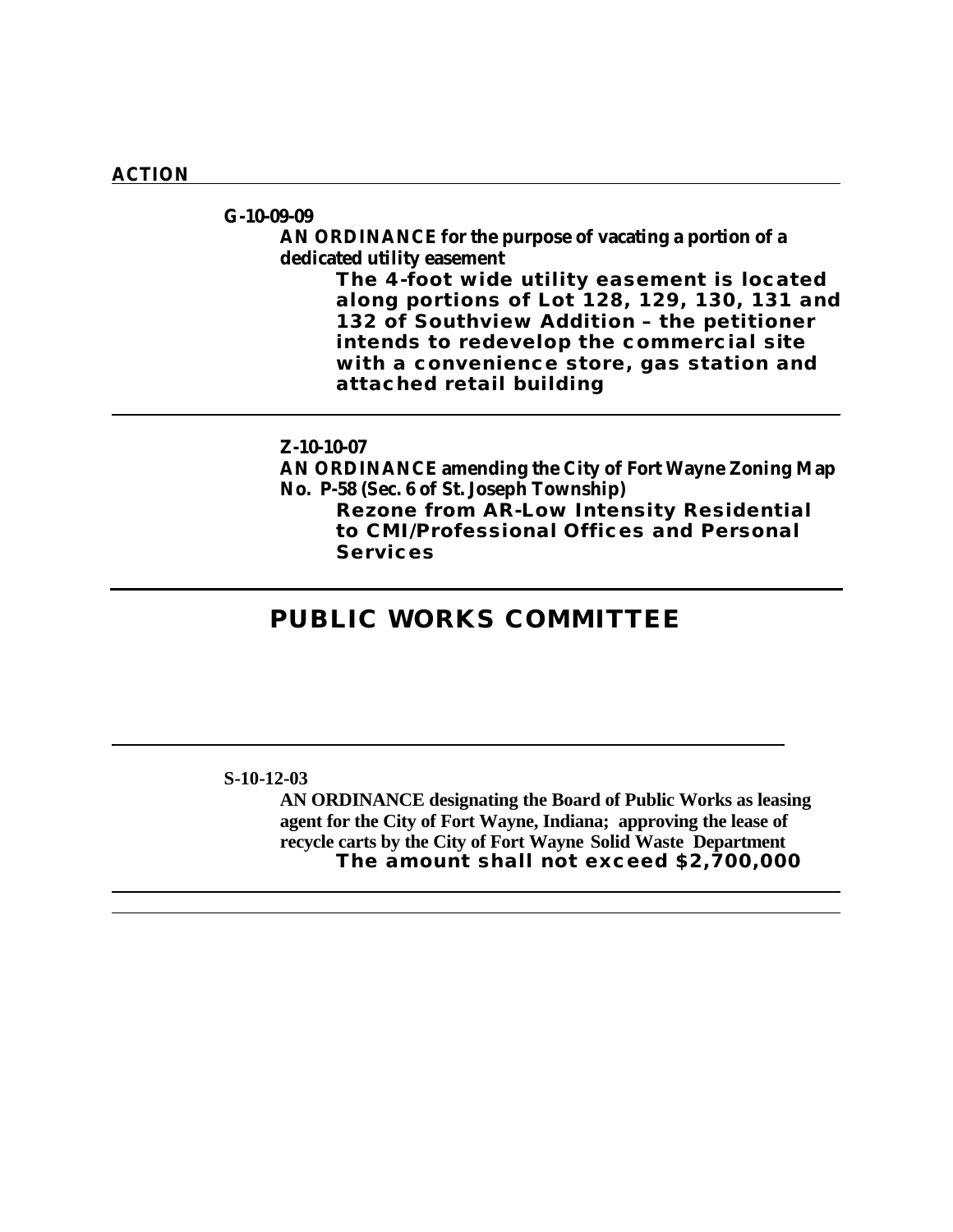#### **ACTION**

### **G-10-09-09**

### **AN ORDINANCE for the purpose of vacating a portion of a dedicated utility easement**

**The 4-foot wide utility easement is located along portions of Lot 128, 129, 130, 131 and 132 of Southview Addition – the petitioner intends to redevelop the commercial site with a convenience store, gas station and attached retail building**

### **Z-10-10-07**

**AN ORDINANCE amending the City of Fort Wayne Zoning Map No. P-58 (Sec. 6 of St. Joseph Township)**

**Rezone from AR-Low Intensity Residential to CMI/Professional Offices and Personal Services** 

## **PUBLIC WORKS COMMITTEE**

#### **S-10-12-03**

**AN ORDINANCE designating the Board of Public Works as leasing agent for the City of Fort Wayne, Indiana; approving the lease of recycle carts by the City of Fort Wayne Solid Waste Department The amount shall not exceed \$2,700,000**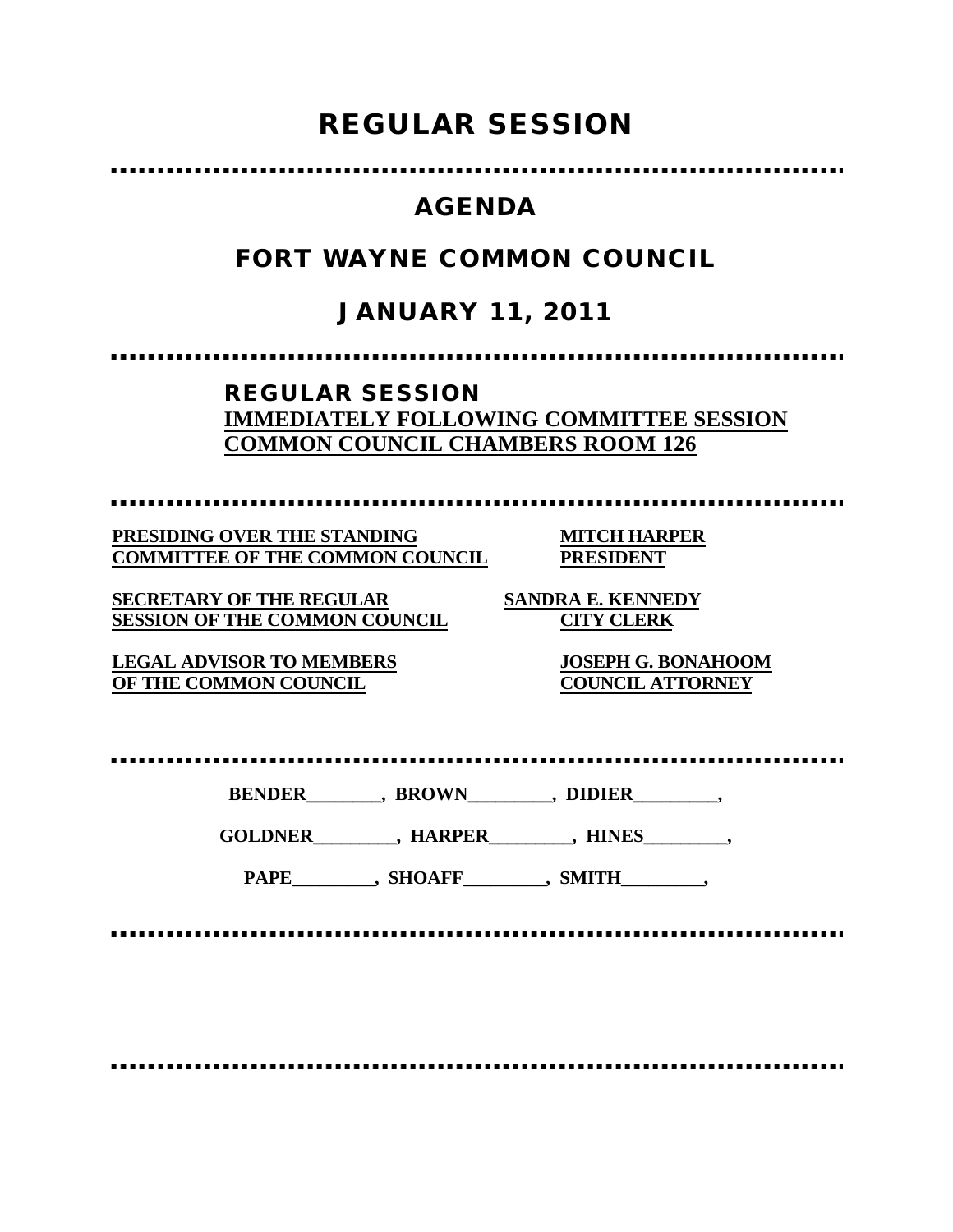# **REGULAR SESSION**

# **AGENDA**

# **FORT WAYNE COMMON COUNCIL**

# **JANUARY 11, 2011**

,,,,,,,,,,,,,,,,,,,,,,,,,,,,

### **REGULAR SESSION IMMEDIATELY FOLLOWING COMMITTEE SESSION COMMON COUNCIL CHAMBERS ROOM 126**

................

**PRESIDING OVER THE STANDING MITCH HARPER COMMITTEE OF THE COMMON COUNCIL PRESIDENT**

**SECRETARY OF THE REGULAR SANDRA E. KENNEDY SESSION OF THE COMMON COUNCIL CITY CLERK**

**LEGAL ADVISOR TO MEMBERS JOSEPH G. BONAHOOM OF THE COMMON COUNCIL COUNCIL ATTORNEY**

| <b>BENDER</b> | <b>BROWN</b> | <b>DIDIER</b> |
|---------------|--------------|---------------|
|---------------|--------------|---------------|

**GOLDNER\_\_\_\_\_\_\_\_\_, HARPER\_\_\_\_\_\_\_\_\_, HINES\_\_\_\_\_\_\_\_\_,**

PAPE\_\_\_\_\_\_\_\_\_, SHOAFF\_\_\_\_\_\_\_\_, SMITH\_\_\_\_\_\_\_\_,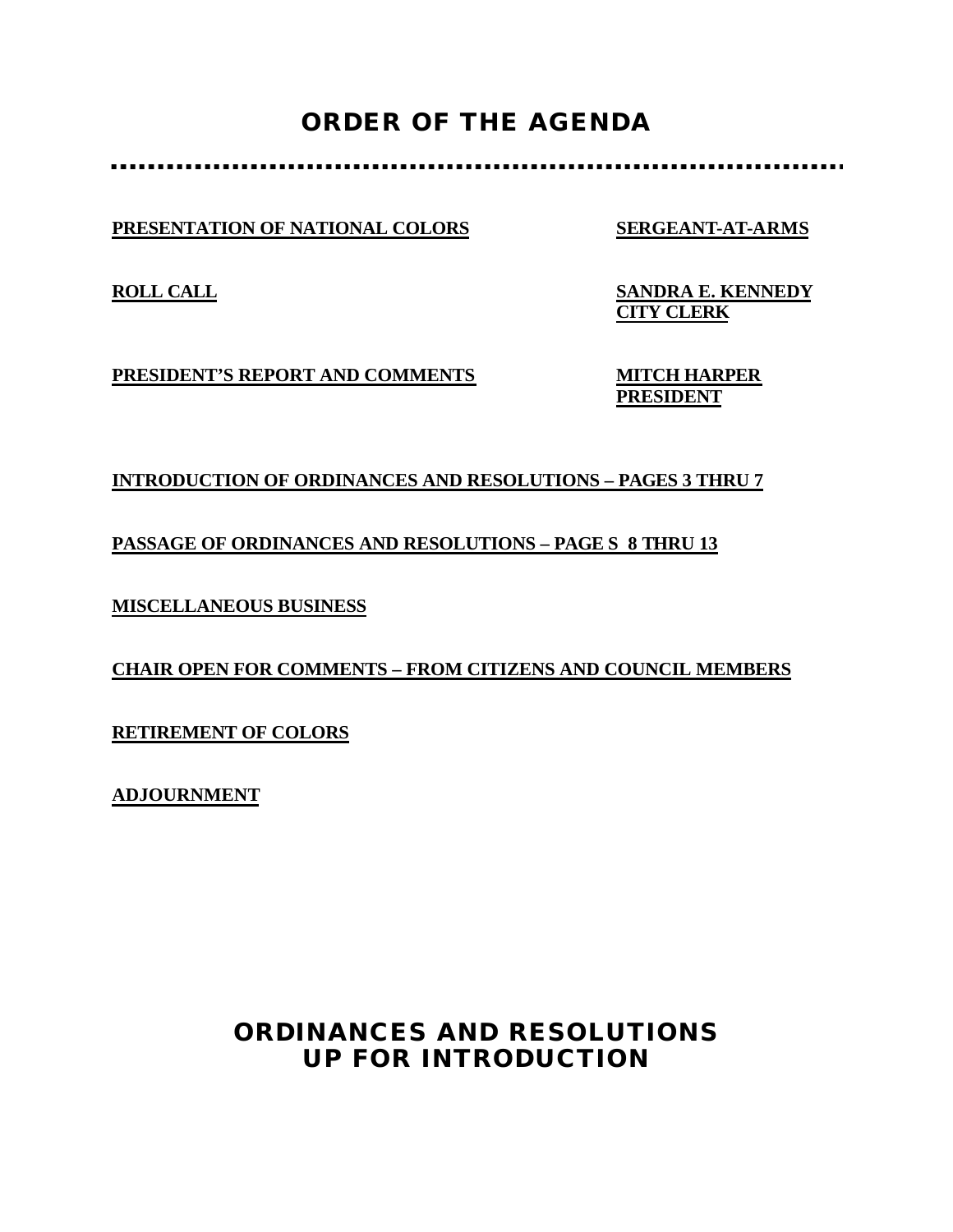# **ORDER OF THE AGENDA**

### **PRESENTATION OF NATIONAL COLORS SERGEANT-AT-ARMS**

**ROLL CALL SANDRA E. KENNEDY CITY CLERK**

**PRESIDENT'S REPORT AND COMMENTS MITCH HARPER**

**PRESIDENT**

### **INTRODUCTION OF ORDINANCES AND RESOLUTIONS – PAGES 3 THRU 7**

### **PASSAGE OF ORDINANCES AND RESOLUTIONS – PAGE S 8 THRU 13**

**MISCELLANEOUS BUSINESS**

### **CHAIR OPEN FOR COMMENTS – FROM CITIZENS AND COUNCIL MEMBERS**

**RETIREMENT OF COLORS**

**ADJOURNMENT**

## **ORDINANCES AND RESOLUTIONS UP FOR INTRODUCTION**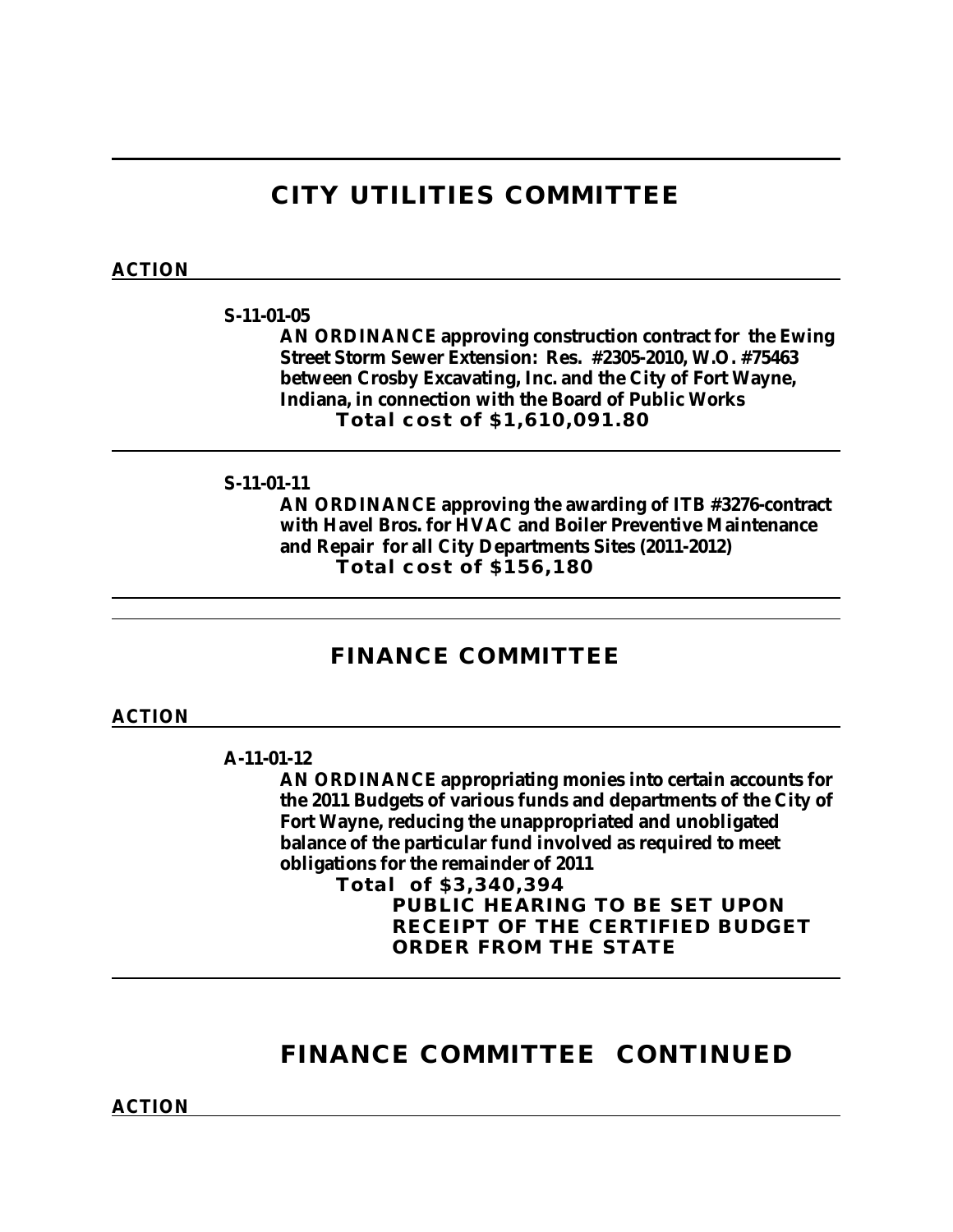## **CITY UTILITIES COMMITTEE**

### **ACTION**

#### **S-11-01-05**

**AN ORDINANCE approving construction contract for the Ewing Street Storm Sewer Extension: Res. #2305-2010, W.O. #75463 between Crosby Excavating, Inc. and the City of Fort Wayne, Indiana, in connection with the Board of Public Works Total cost of \$1,610,091.80**

### **S-11-01-11**

**AN ORDINANCE approving the awarding of ITB #3276-contract with Havel Bros. for HVAC and Boiler Preventive Maintenance and Repair for all City Departments Sites (2011-2012) Total cost of \$156,180**

### **FINANCE COMMITTEE**

### **ACTION**

#### **A-11-01-12**

**AN ORDINANCE appropriating monies into certain accounts for the 2011 Budgets of various funds and departments of the City of Fort Wayne, reducing the unappropriated and unobligated balance of the particular fund involved as required to meet obligations for the remainder of 2011**

**Total of \$3,340,394 PUBLIC HEARING TO BE SET UPON RECEIPT OF THE CERTIFIED BUDGET ORDER FROM THE STATE**

## **FINANCE COMMITTEE CONTINUED**

**ACTION**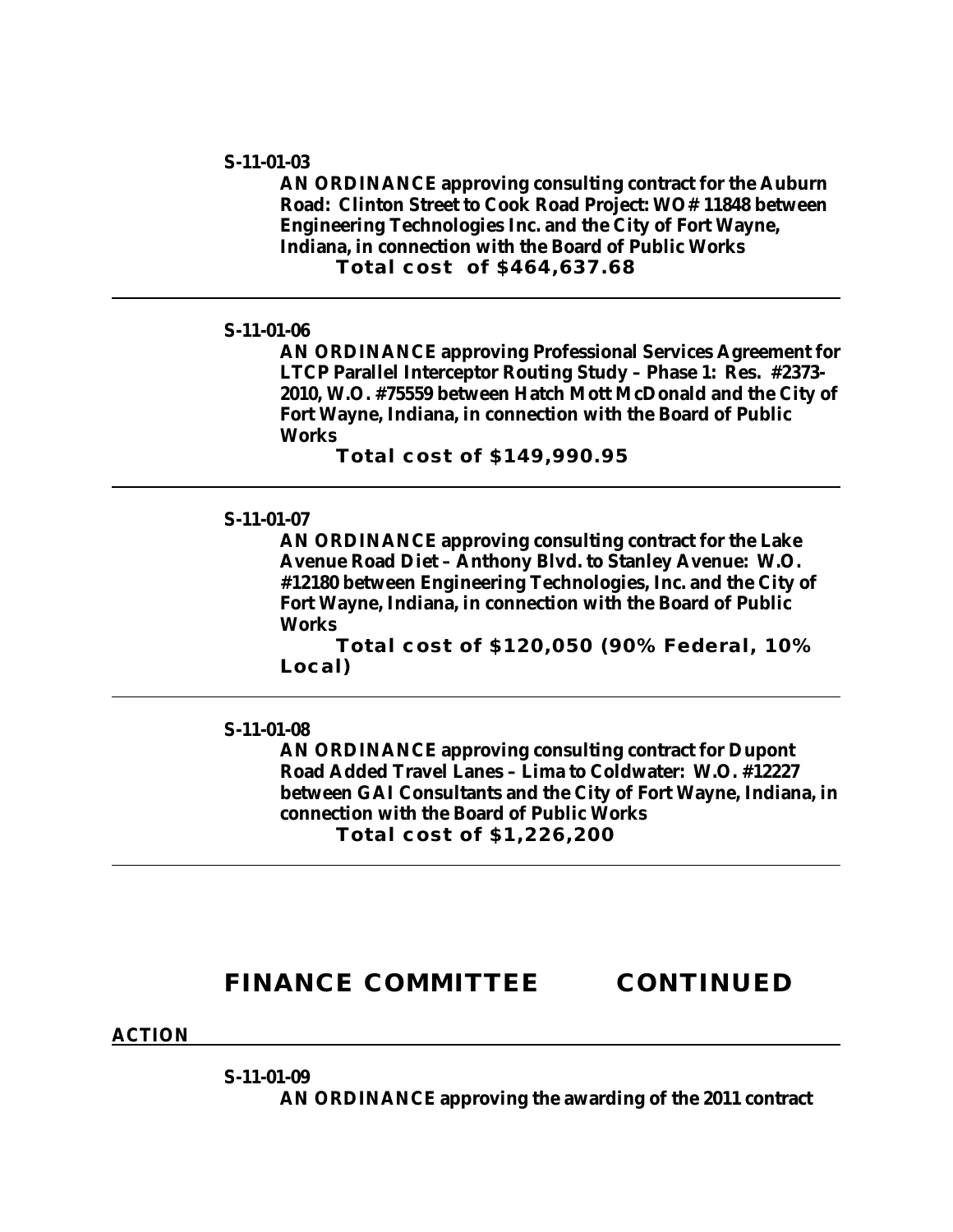#### **S-11-01-03**

**AN ORDINANCE approving consulting contract for the Auburn Road: Clinton Street to Cook Road Project: WO# 11848 between Engineering Technologies Inc. and the City of Fort Wayne, Indiana, in connection with the Board of Public Works Total cost of \$464,637.68**

#### **S-11-01-06**

**AN ORDINANCE approving Professional Services Agreement for LTCP Parallel Interceptor Routing Study – Phase 1: Res. #2373- 2010, W.O. #75559 between Hatch Mott McDonald and the City of Fort Wayne, Indiana, in connection with the Board of Public Works**

**Total cost of \$149,990.95**

### **S-11-01-07**

**AN ORDINANCE approving consulting contract for the Lake Avenue Road Diet – Anthony Blvd. to Stanley Avenue: W.O. #12180 between Engineering Technologies, Inc. and the City of Fort Wayne, Indiana, in connection with the Board of Public Works**

**Total cost of \$120,050 (90% Federal, 10% Local)**

#### **S-11-01-08**

**AN ORDINANCE approving consulting contract for Dupont Road Added Travel Lanes – Lima to Coldwater: W.O. #12227 between GAI Consultants and the City of Fort Wayne, Indiana, in connection with the Board of Public Works Total cost of \$1,226,200**

### **FINANCE COMMITTEE CONTINUED**

#### **ACTION**

**S-11-01-09**

**AN ORDINANCE approving the awarding of the 2011 contract**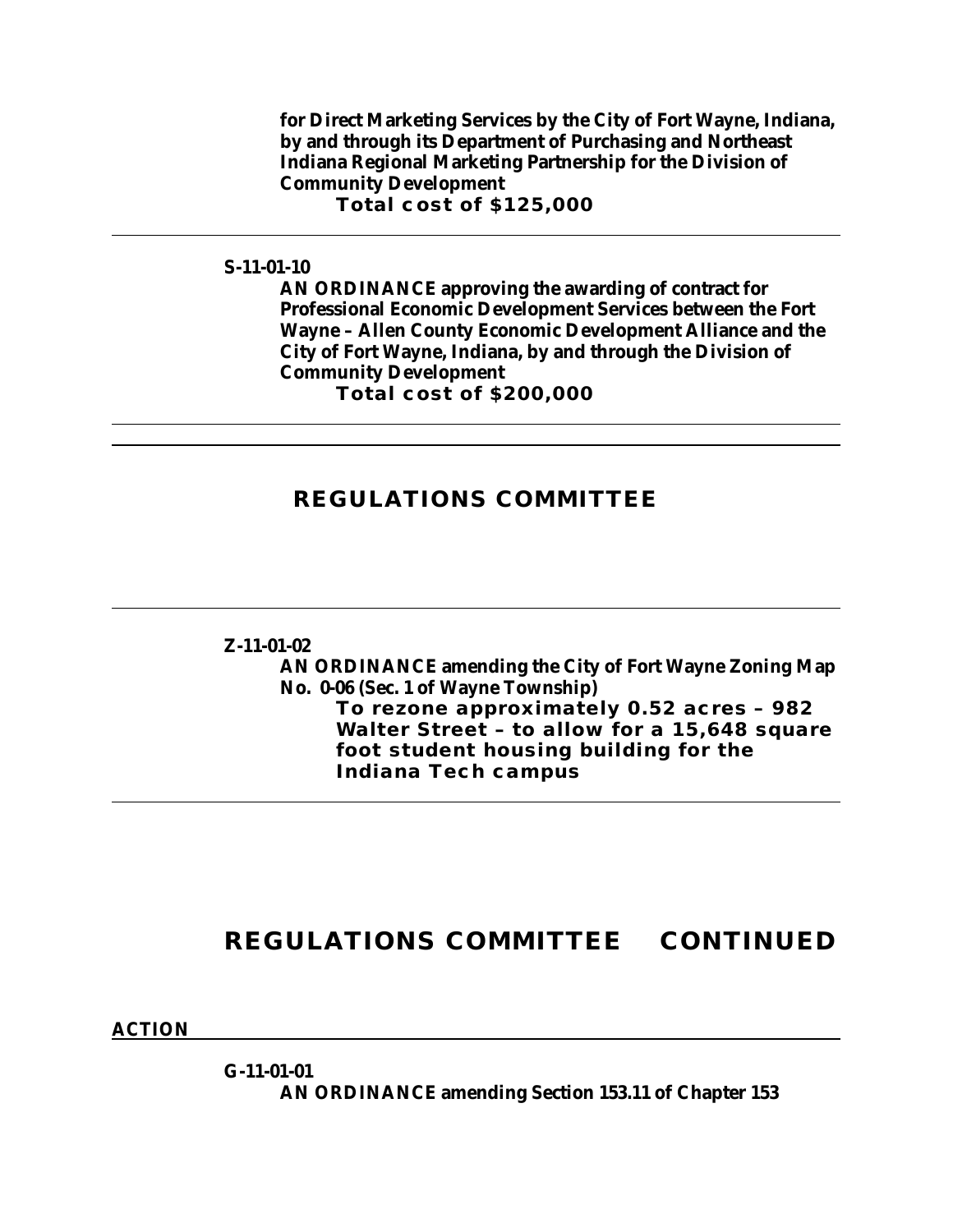**for Direct Marketing Services by the City of Fort Wayne, Indiana, by and through its Department of Purchasing and Northeast Indiana Regional Marketing Partnership for the Division of Community Development**

**Total cost of \$125,000**

### **S-11-01-10**

**AN ORDINANCE approving the awarding of contract for Professional Economic Development Services between the Fort Wayne – Allen County Economic Development Alliance and the City of Fort Wayne, Indiana, by and through the Division of Community Development Total cost of \$200,000**

### **REGULATIONS COMMITTEE**

**Z-11-01-02 AN ORDINANCE amending the City of Fort Wayne Zoning Map No. 0-06 (Sec. 1 of Wayne Township) To rezone approximately 0.52 acres – 982 Walter Street – to allow for a 15,648 square foot student housing building for the Indiana Tech campus**

## **REGULATIONS COMMITTEE CONTINUED**

**ACTION**

**G-11-01-01 AN ORDINANCE amending Section 153.11 of Chapter 153**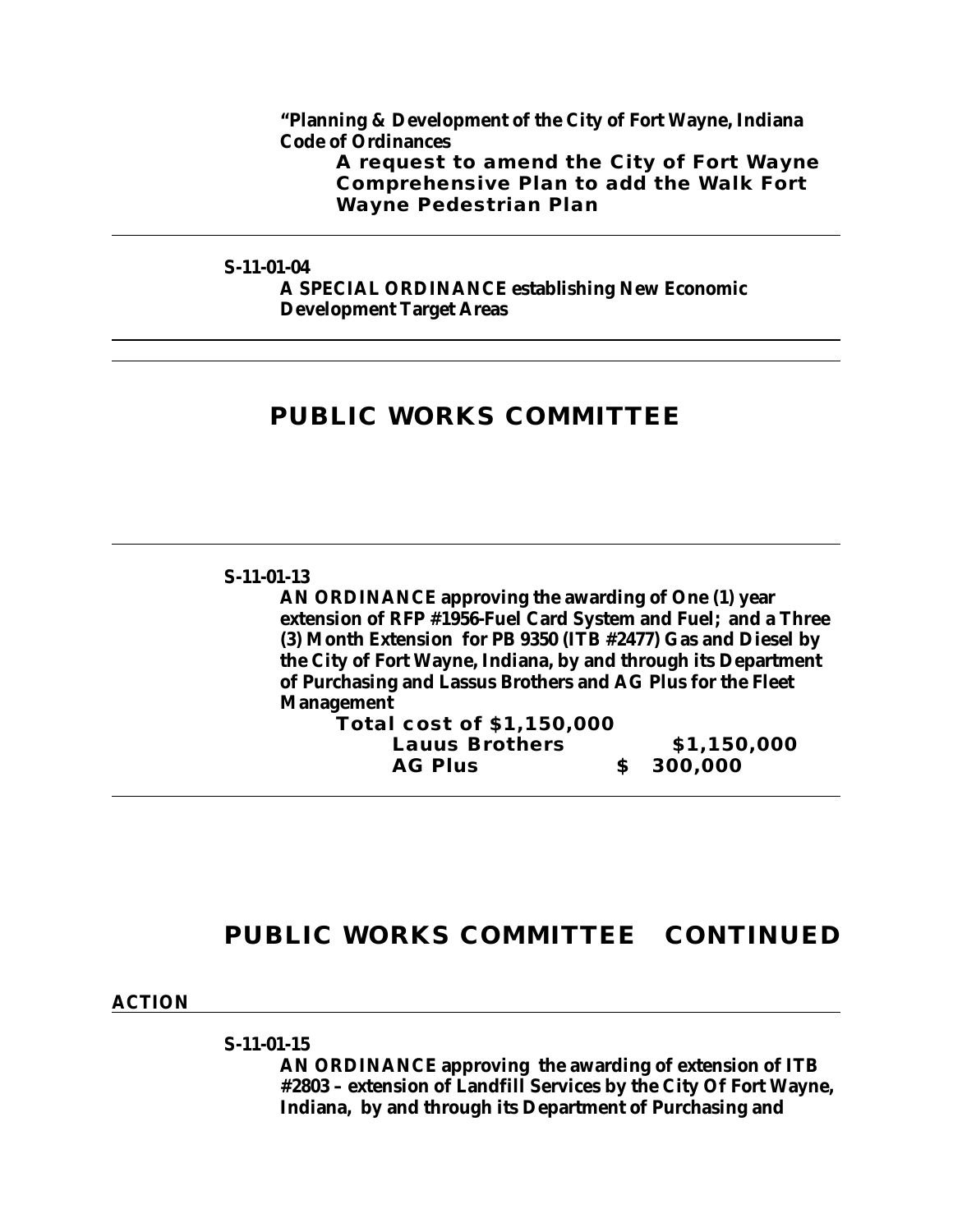**"Planning & Development of the City of Fort Wayne, Indiana Code of Ordinances**

**A request to amend the City of Fort Wayne Comprehensive Plan to add the Walk Fort Wayne Pedestrian Plan**

**S-11-01-04**

**A SPECIAL ORDINANCE establishing New Economic Development Target Areas**

## **PUBLIC WORKS COMMITTEE**

#### **S-11-01-13**

**AN ORDINANCE approving the awarding of One (1) year extension of RFP #1956-Fuel Card System and Fuel; and a Three (3) Month Extension for PB 9350 (ITB #2477) Gas and Diesel by the City of Fort Wayne, Indiana, by and through its Department of Purchasing and Lassus Brothers and AG Plus for the Fleet Management**

| Total cost of \$1,150,000 |             |
|---------------------------|-------------|
| <b>Lauus Brothers</b>     | \$1,150,000 |
| <b>AG Plus</b>            | \$300,000   |

## **PUBLIC WORKS COMMITTEE CONTINUED**

**ACTION**

**S-11-01-15**

**AN ORDINANCE approving the awarding of extension of ITB #2803 – extension of Landfill Services by the City Of Fort Wayne, Indiana, by and through its Department of Purchasing and**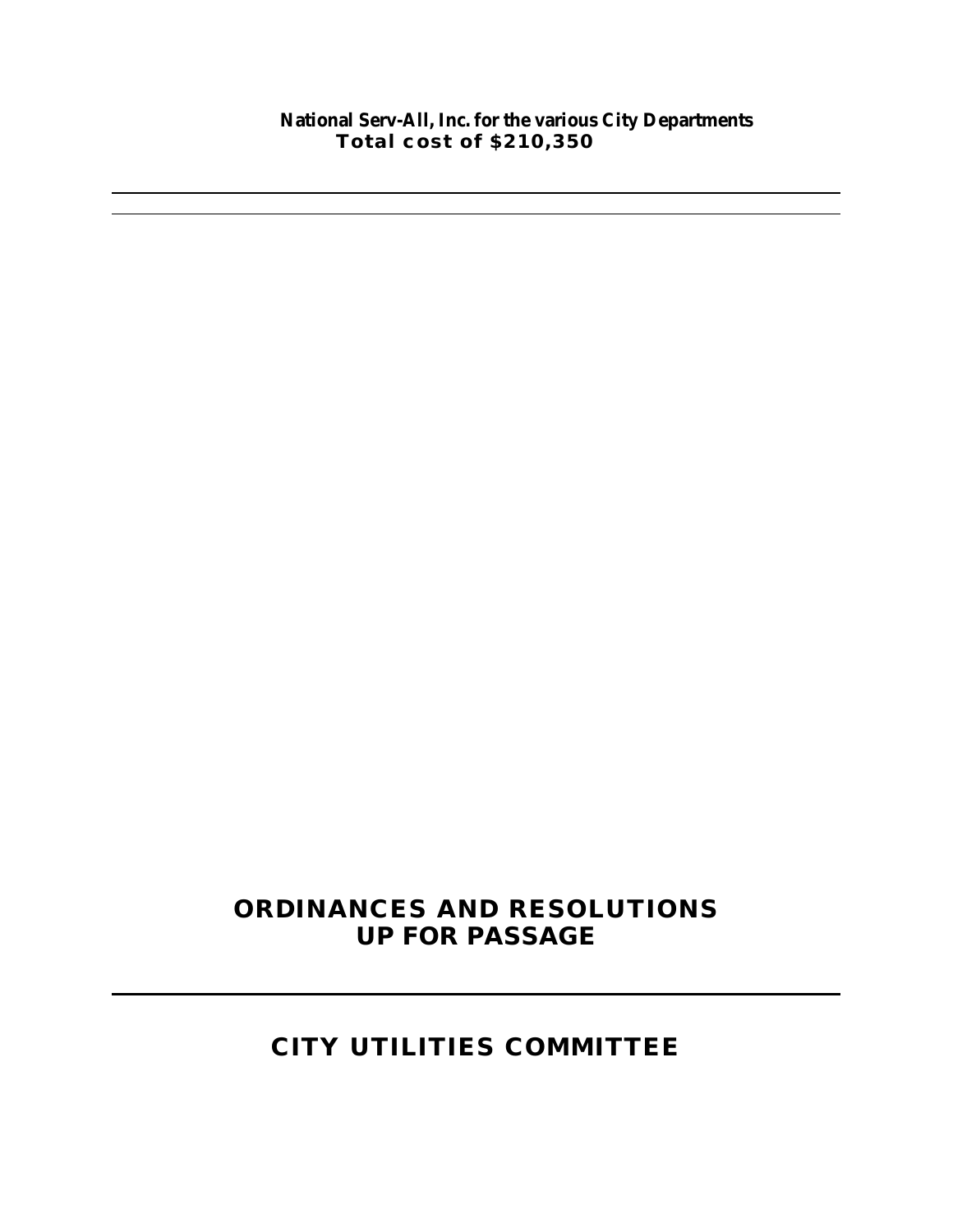### **National Serv-All, Inc. for the various City Departments Total cost of \$210,350**

# **ORDINANCES AND RESOLUTIONS UP FOR PASSAGE**

# **CITY UTILITIES COMMITTEE**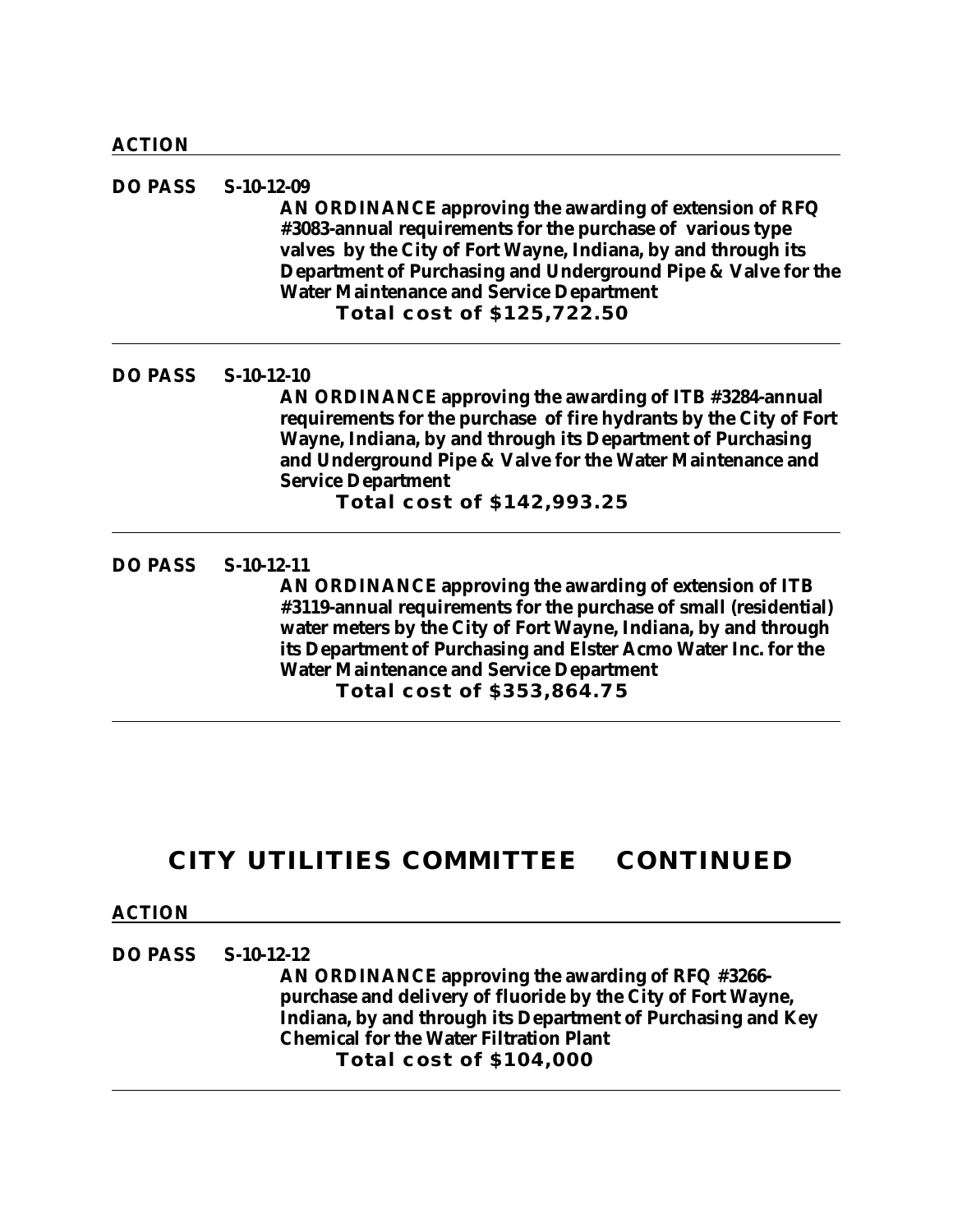**DO PASS S-10-12-09 AN ORDINANCE approving the awarding of extension of RFQ #3083-annual requirements for the purchase of various type valves by the City of Fort Wayne, Indiana, by and through its Department of Purchasing and Underground Pipe & Valve for the Water Maintenance and Service Department Total cost of \$125,722.50**

**DO PASS S-10-12-10**

**AN ORDINANCE approving the awarding of ITB #3284-annual requirements for the purchase of fire hydrants by the City of Fort Wayne, Indiana, by and through its Department of Purchasing and Underground Pipe & Valve for the Water Maintenance and Service Department**

**Total cost of \$142,993.25**

### **DO PASS S-10-12-11**

**AN ORDINANCE approving the awarding of extension of ITB #3119-annual requirements for the purchase of small (residential) water meters by the City of Fort Wayne, Indiana, by and through its Department of Purchasing and Elster Acmo Water Inc. for the Water Maintenance and Service Department Total cost of \$353,864.75**

## **CITY UTILITIES COMMITTEE CONTINUED**

### **ACTION**

**DO PASS S-10-12-12**

**AN ORDINANCE approving the awarding of RFQ #3266 purchase and delivery of fluoride by the City of Fort Wayne, Indiana, by and through its Department of Purchasing and Key Chemical for the Water Filtration Plant Total cost of \$104,000**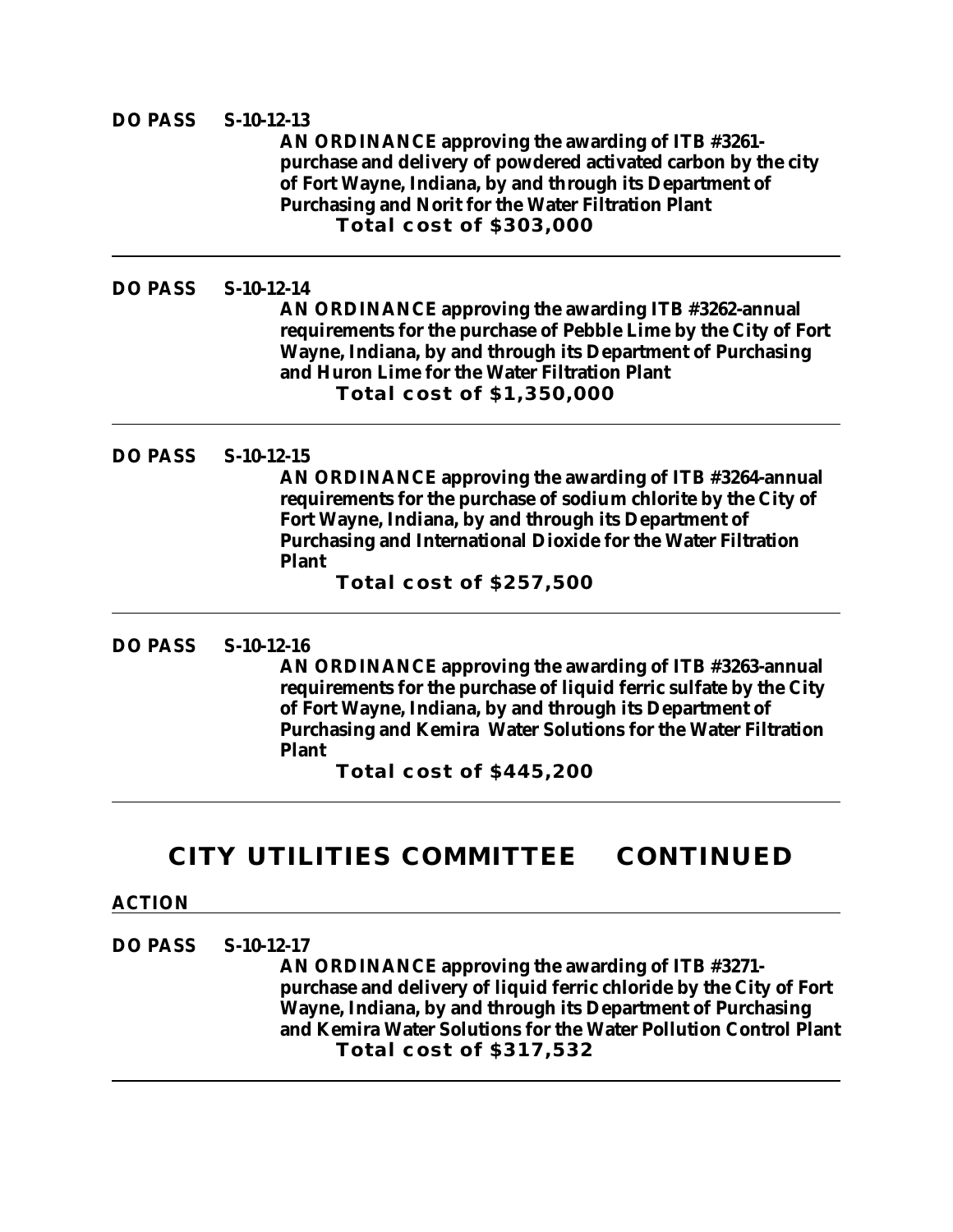### **DO PASS S-10-12-13**

**AN ORDINANCE approving the awarding of ITB #3261 purchase and delivery of powdered activated carbon by the city of Fort Wayne, Indiana, by and through its Department of Purchasing and Norit for the Water Filtration Plant Total cost of \$303,000**

#### **DO PASS S-10-12-14**

**AN ORDINANCE approving the awarding ITB #3262-annual requirements for the purchase of Pebble Lime by the City of Fort Wayne, Indiana, by and through its Department of Purchasing and Huron Lime for the Water Filtration Plant Total cost of \$1,350,000**

#### **DO PASS S-10-12-15**

**AN ORDINANCE approving the awarding of ITB #3264-annual requirements for the purchase of sodium chlorite by the City of Fort Wayne, Indiana, by and through its Department of Purchasing and International Dioxide for the Water Filtration Plant**

**Total cost of \$257,500**

### **DO PASS S-10-12-16**

**AN ORDINANCE approving the awarding of ITB #3263-annual requirements for the purchase of liquid ferric sulfate by the City of Fort Wayne, Indiana, by and through its Department of Purchasing and Kemira Water Solutions for the Water Filtration Plant**

**Total cost of \$445,200**

### **CITY UTILITIES COMMITTEE CONTINUED**

#### **ACTION**

**DO PASS S-10-12-17**

**AN ORDINANCE approving the awarding of ITB #3271 purchase and delivery of liquid ferric chloride by the City of Fort Wayne, Indiana, by and through its Department of Purchasing and Kemira Water Solutions for the Water Pollution Control Plant Total cost of \$317,532**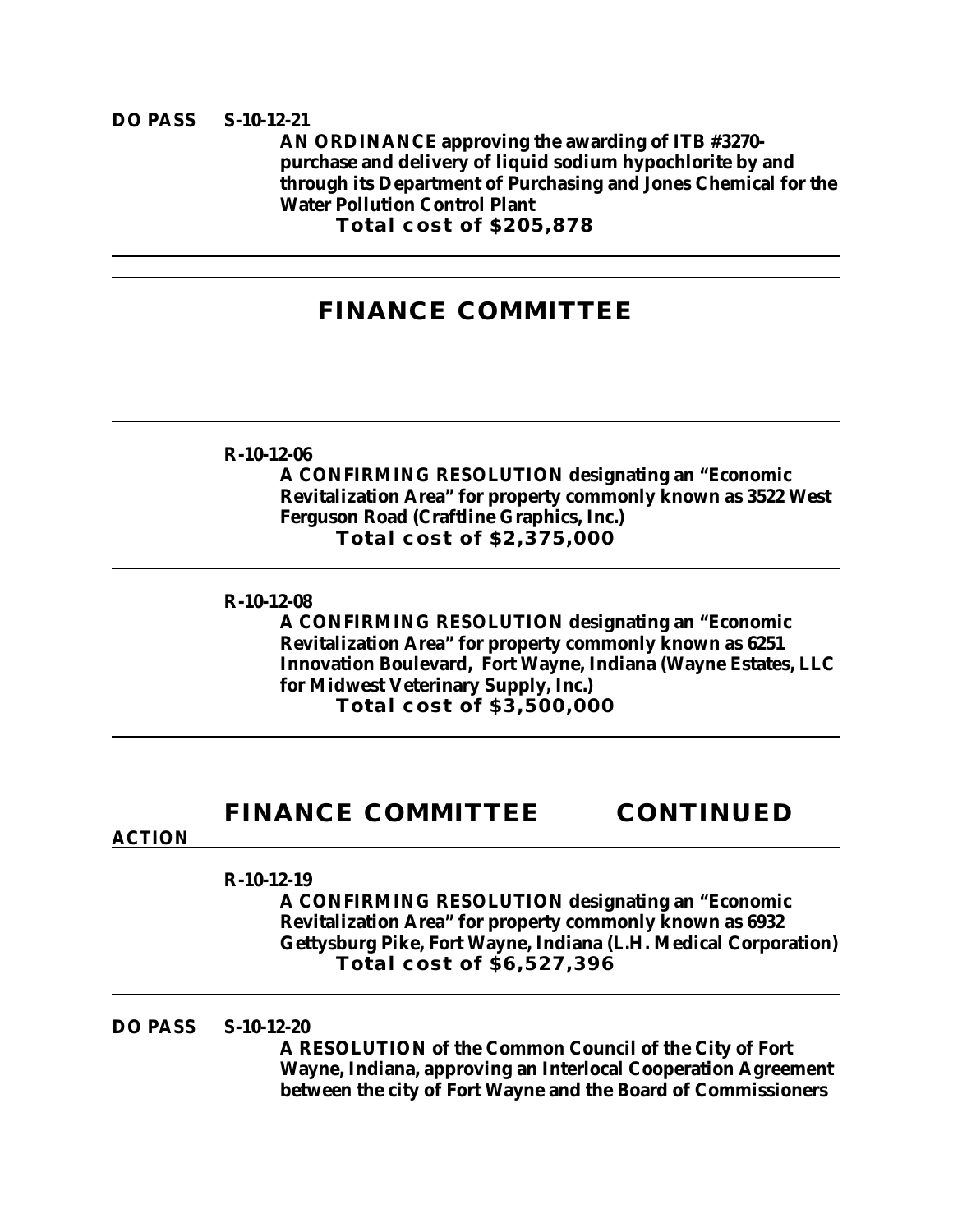### **DO PASS S-10-12-21**

**AN ORDINANCE approving the awarding of ITB #3270 purchase and delivery of liquid sodium hypochlorite by and through its Department of Purchasing and Jones Chemical for the Water Pollution Control Plant**

**Total cost of \$205,878**

## **FINANCE COMMITTEE**

#### **R-10-12-06**

**A CONFIRMING RESOLUTION designating an "Economic Revitalization Area" for property commonly known as 3522 West Ferguson Road (Craftline Graphics, Inc.) Total cost of \$2,375,000**

### **R-10-12-08**

**A CONFIRMING RESOLUTION designating an "Economic Revitalization Area" for property commonly known as 6251 Innovation Boulevard, Fort Wayne, Indiana (Wayne Estates, LLC for Midwest Veterinary Supply, Inc.) Total cost of \$3,500,000**

## **FINANCE COMMITTEE CONTINUED**

#### **ACTION**

#### **R-10-12-19**

**A CONFIRMING RESOLUTION designating an "Economic Revitalization Area" for property commonly known as 6932 Gettysburg Pike, Fort Wayne, Indiana (L.H. Medical Corporation) Total cost of \$6,527,396**

### **DO PASS S-10-12-20**

**A RESOLUTION of the Common Council of the City of Fort Wayne, Indiana, approving an Interlocal Cooperation Agreement between the city of Fort Wayne and the Board of Commissioners**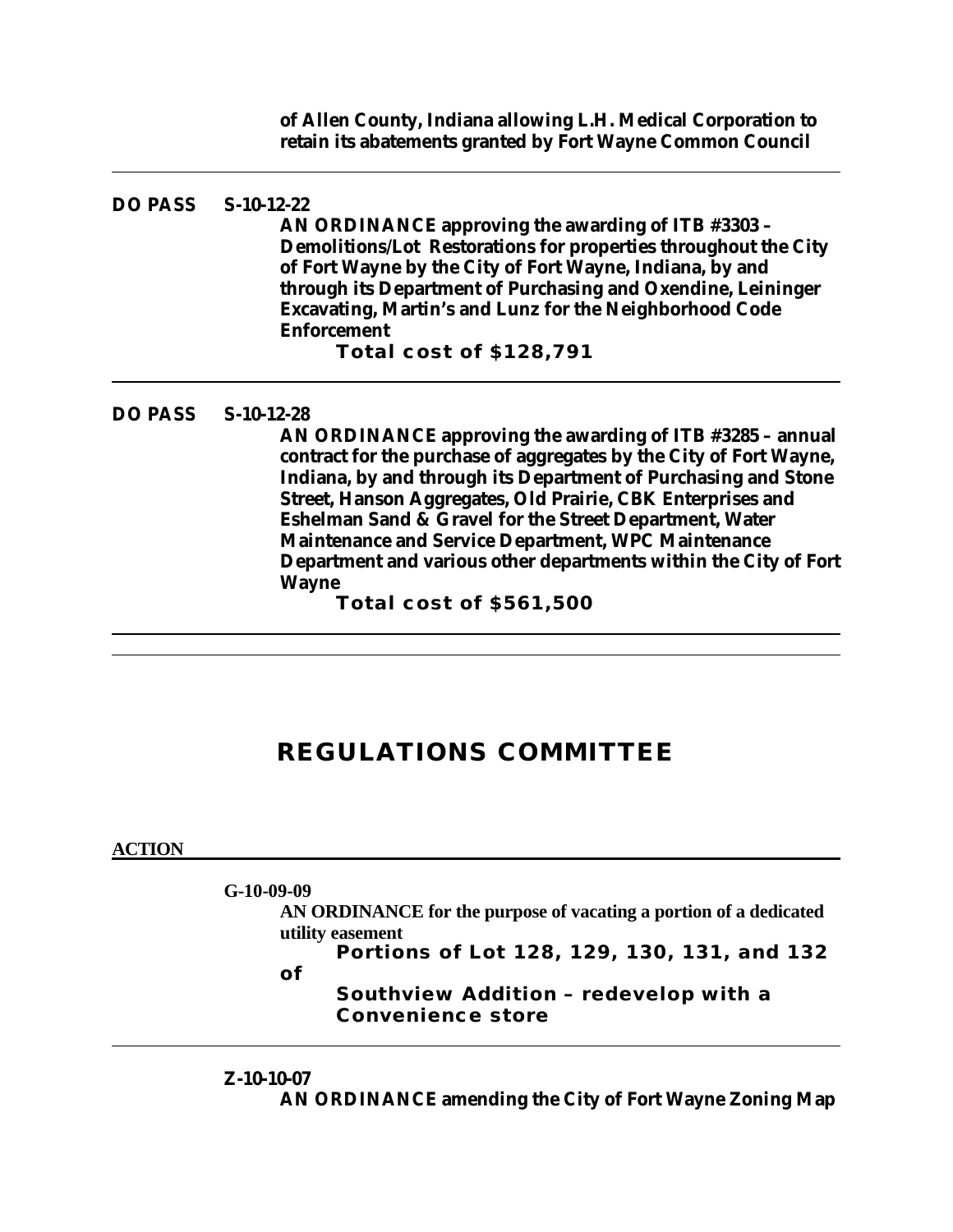**of Allen County, Indiana allowing L.H. Medical Corporation to retain its abatements granted by Fort Wayne Common Council**

#### **DO PASS S-10-12-22**

**AN ORDINANCE approving the awarding of ITB #3303 – Demolitions/Lot Restorations for properties throughout the City of Fort Wayne by the City of Fort Wayne, Indiana, by and through its Department of Purchasing and Oxendine, Leininger Excavating, Martin's and Lunz for the Neighborhood Code Enforcement**

**Total cost of \$128,791**

#### **DO PASS S-10-12-28**

**AN ORDINANCE approving the awarding of ITB #3285 – annual contract for the purchase of aggregates by the City of Fort Wayne, Indiana, by and through its Department of Purchasing and Stone Street, Hanson Aggregates, Old Prairie, CBK Enterprises and Eshelman Sand & Gravel for the Street Department, Water Maintenance and Service Department, WPC Maintenance Department and various other departments within the City of Fort Wayne**

**Total cost of \$561,500**

## **REGULATIONS COMMITTEE**

#### **ACTION**

**G-10-09-09**

**AN ORDINANCE for the purpose of vacating a portion of a dedicated utility easement**

**Portions of Lot 128, 129, 130, 131, and 132** 

**of** 

**Southview Addition – redevelop with a Convenience store**

### **Z-10-10-07**

**AN ORDINANCE amending the City of Fort Wayne Zoning Map**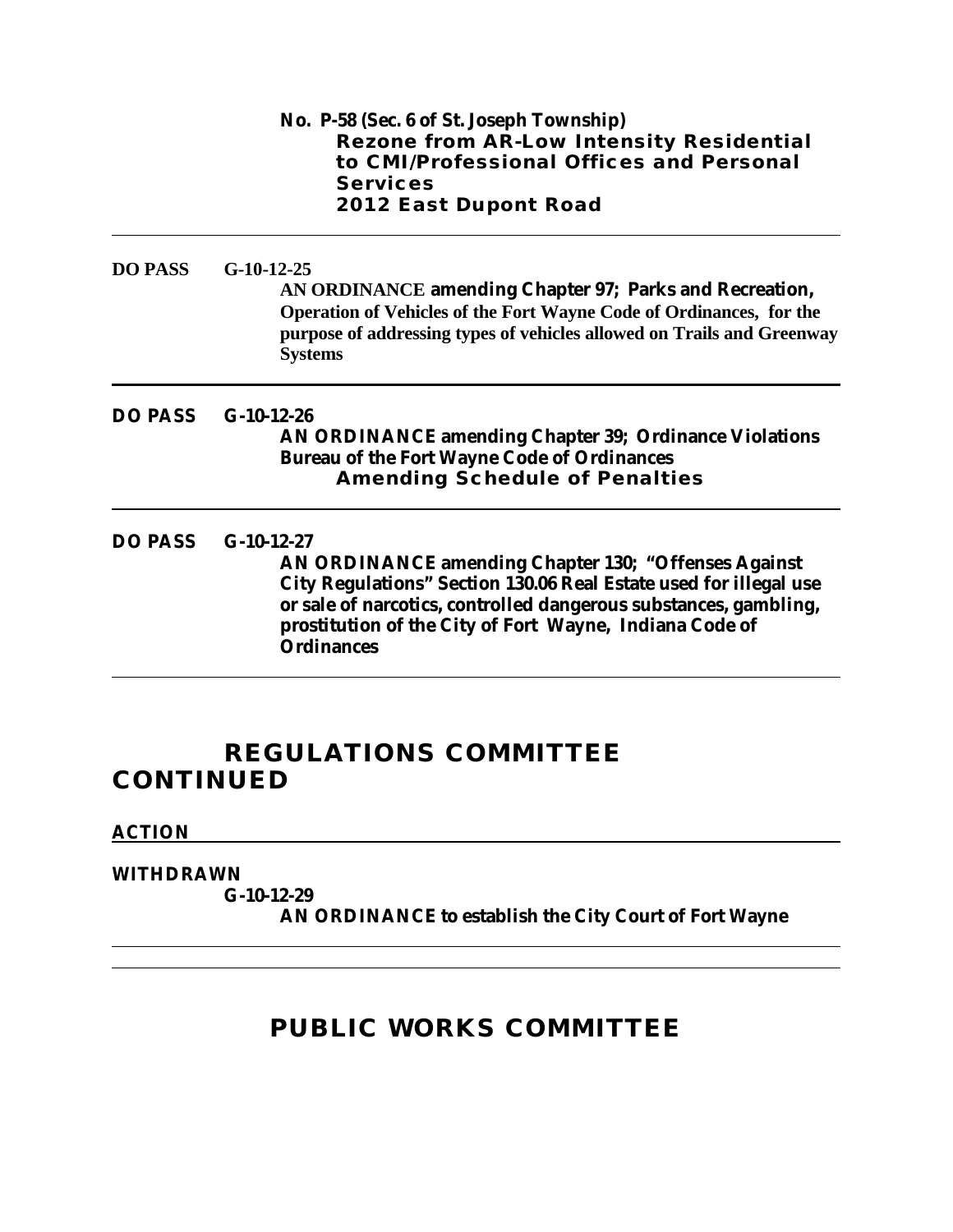|                | No. P-58 (Sec. 6 of St. Joseph Township)<br><b>Rezone from AR-Low Intensity Residential</b><br>to CMI/Professional Offices and Personal<br><b>Services</b><br>2012 East Dupont Road                                                                                                                  |
|----------------|------------------------------------------------------------------------------------------------------------------------------------------------------------------------------------------------------------------------------------------------------------------------------------------------------|
| <b>DO PASS</b> | $G-10-12-25$<br>AN ORDINANCE amending Chapter 97; Parks and Recreation,<br>Operation of Vehicles of the Fort Wayne Code of Ordinances, for the<br>purpose of addressing types of vehicles allowed on Trails and Greenway<br><b>Systems</b>                                                           |
| <b>DO PASS</b> | $G-10-12-26$<br><b>AN ORDINANCE amending Chapter 39; Ordinance Violations</b><br><b>Bureau of the Fort Wayne Code of Ordinances</b><br><b>Amending Schedule of Penalties</b>                                                                                                                         |
| <b>DO PASS</b> | $G-10-12-27$<br><b>AN ORDINANCE amending Chapter 130; "Offenses Against</b><br>City Regulations" Section 130.06 Real Estate used for illegal use<br>or sale of narcotics, controlled dangerous substances, gambling,<br>prostitution of the City of Fort Wayne, Indiana Code of<br><b>Ordinances</b> |

# **REGULATIONS COMMITTEE CONTINUED**

### **ACTION**

### **WITHDRAWN**

**G-10-12-29**

**AN ORDINANCE to establish the City Court of Fort Wayne**

# **PUBLIC WORKS COMMITTEE**